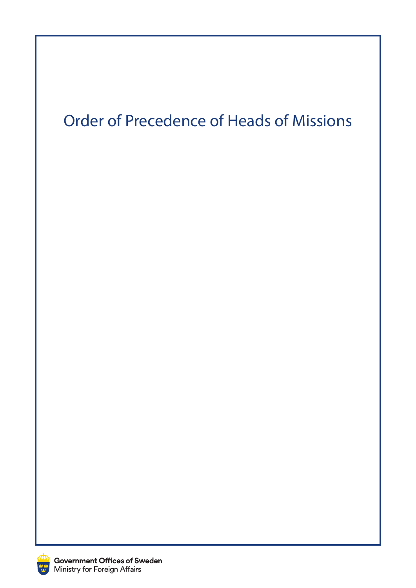## Order of Precedence of Heads of Missions

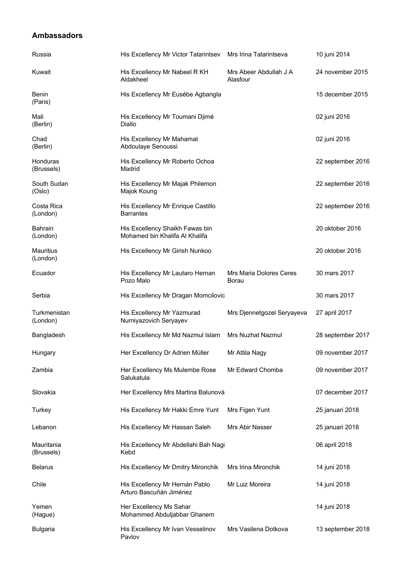## **Ambassadors**

| Russia                     | His Excellency Mr Victor Tatarintsev                              | Mrs Irina Tatarintseva             | 10 juni 2014      |
|----------------------------|-------------------------------------------------------------------|------------------------------------|-------------------|
| Kuwait                     | His Excellency Mr Nabeel R KH<br>Aldakheel                        | Mrs Abeer Abdullah J A<br>Alasfour | 24 november 2015  |
| Benin<br>(Paris)           | His Excellency Mr Eusébe Agbangla                                 |                                    | 15 december 2015  |
| Mali<br>(Berlin)           | His Excellency Mr Toumani Djimé<br>Diallo                         |                                    | 02 juni 2016      |
| Chad<br>(Berlin)           | His Excellency Mr Mahamat<br>Abdoulaye Senoussi                   |                                    | 02 juni 2016      |
| Honduras<br>(Brussels)     | His Excellency Mr Roberto Ochoa<br>Madrid                         |                                    | 22 september 2016 |
| South Sudan<br>(Oslo)      | His Excellency Mr Majak Philemon<br>Majok Koung                   |                                    | 22 september 2016 |
| Costa Rica<br>(London)     | His Excellency Mr Enrique Castillo<br><b>Barrantes</b>            |                                    | 22 september 2016 |
| <b>Bahrain</b><br>(London) | His Excellency Shaikh Fawas bin<br>Mohamed bin Khalifa Al Khalifa |                                    | 20 oktober 2016   |
| Mauritius<br>(London)      | His Excellency Mr Girish Nunkoo                                   |                                    | 20 oktober 2016   |
| Ecuador                    | His Excellency Mr Lautaro Hernan<br>Pozo Malo                     | Mrs Maria Dolores Ceres<br>Borau   | 30 mars 2017      |
| Serbia                     | His Excellency Mr Dragan Momcilovic                               |                                    | 30 mars 2017      |
| Turkmenistan<br>(London)   | His Excellency Mr Yazmurad<br>Nurniyazovich Seryayev              | Mrs Djennetgozel Seryayeva         | 27 april 2017     |
| Bangladesh                 | His Excellency Mr Md Nazmul Islam                                 | Mrs Nuzhat Nazmul                  | 28 september 2017 |
| Hungary                    | Her Excellency Dr Adrien Müller                                   | Mr Attila Nagy                     | 09 november 2017  |
| Zambia                     | Her Excellency Ms Mulembe Rose<br>Salukatula                      | Mr Edward Chomba                   | 09 november 2017  |
| Slovakia                   | Her Excellency Mrs Martina Balunová                               |                                    | 07 december 2017  |
| Turkey                     | His Excellency Mr Hakki Emre Yunt                                 | Mrs Figen Yunt                     | 25 januari 2018   |
| Lebanon                    | His Excellency Mr Hassan Saleh                                    | Mrs Abir Nasser                    | 25 januari 2018   |
| Mauritania<br>(Brussels)   | His Excellency Mr Abdellahi Bah Nagi<br>Kebd                      |                                    | 06 april 2018     |
| <b>Belarus</b>             | His Excellency Mr Dmitry Mironchik                                | Mrs Irina Mironchik                | 14 juni 2018      |
| Chile                      | His Excellency Mr Hernán Pablo<br>Arturo Bascuñán Jiménez         | Mr Luiz Moreira                    | 14 juni 2018      |
| Yemen<br>(Hague)           | Her Excellency Ms Sahar<br>Mohammed Abduljabbar Ghanem            |                                    | 14 juni 2018      |
| <b>Bulgaria</b>            | His Excellency Mr Ivan Vesselinov<br>Pavlov                       | Mrs Vasilena Dotkova               | 13 september 2018 |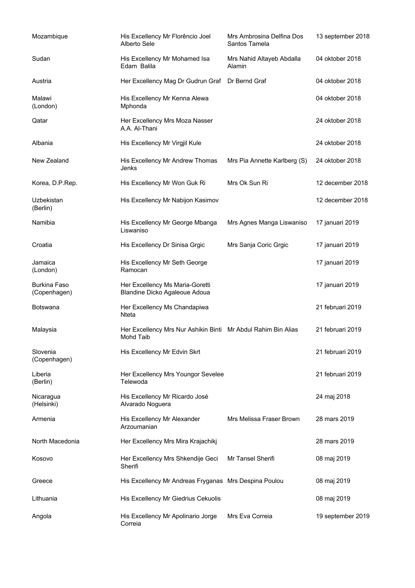| Mozambique                          | His Excellency Mr Florêncio Joel<br>Alberto Sele                           | Mrs Ambrosina Delfina Dos<br>Santos Tamela | 13 september 2018 |
|-------------------------------------|----------------------------------------------------------------------------|--------------------------------------------|-------------------|
| Sudan                               | His Excellency Mr Mohamed Isa<br>Edam Balila                               | Mrs Nahid Altayeb Abdalla<br>Alamin        | 04 oktober 2018   |
| Austria                             | Her Excellency Mag Dr Gudrun Graf Dr Bernd Graf                            |                                            | 04 oktober 2018   |
| Malawi<br>(London)                  | His Excellency Mr Kenna Alewa<br>Mphonda                                   |                                            | 04 oktober 2018   |
| Qatar                               | Her Excellency Mrs Moza Nasser<br>A.A. Al-Thani                            |                                            | 24 oktober 2018   |
| Albania                             | His Excellency Mr Virgjil Kule                                             |                                            | 24 oktober 2018   |
| New Zealand                         | His Excellency Mr Andrew Thomas<br>Jenks                                   | Mrs Pia Annette Karlberg (S)               | 24 oktober 2018   |
| Korea, D.P.Rep.                     | His Excellency Mr Won Guk Ri                                               | Mrs Ok Sun Ri                              | 12 december 2018  |
| Uzbekistan<br>(Berlin)              | His Excellency Mr Nabijon Kasimov                                          |                                            | 12 december 2018  |
| Namibia                             | His Excellency Mr George Mbanga<br>Liswaniso                               | Mrs Agnes Manga Liswaniso                  | 17 januari 2019   |
| Croatia                             | His Excellency Dr Sinisa Grgic                                             | Mrs Sanja Coric Grgic                      | 17 januari 2019   |
| Jamaica<br>(London)                 | His Excellency Mr Seth George<br>Ramocan                                   |                                            | 17 januari 2019   |
| <b>Burkina Faso</b><br>(Copenhagen) | Her Excellency Ms Maria-Goretti<br>Blandine Dicko Agaleoue Adoua           |                                            | 17 januari 2019   |
| Botswana                            | Her Excellency Ms Chandapiwa<br>Nteta                                      |                                            | 21 februari 2019  |
| Malaysia                            | Her Excellency Mrs Nur Ashikin Binti Mr Abdul Rahim Bin Alias<br>Mohd Taib |                                            | 21 februari 2019  |
| Slovenia<br>(Copenhagen)            | His Excellency Mr Edvin Skrt                                               |                                            | 21 februari 2019  |
| Liberia<br>(Berlin)                 | Her Excellency Mrs Youngor Sevelee<br>Telewoda                             |                                            | 21 februari 2019  |
| Nicaragua<br>(Helsinki)             | His Excellency Mr Ricardo José<br>Alvarado Noguera                         |                                            | 24 maj 2018       |
| Armenia                             | His Excellency Mr Alexander<br>Arzoumanian                                 | Mrs Melissa Fraser Brown                   | 28 mars 2019      |
| North Macedonia                     | Her Excellency Mrs Mira Krajachikj                                         |                                            | 28 mars 2019      |
| Kosovo                              | Her Excellency Mrs Shkendije Geci<br>Sherifi                               | Mr Tansel Sherifi                          | 08 maj 2019       |
| Greece                              | His Excellency Mr Andreas Fryganas Mrs Despina Poulou                      |                                            | 08 maj 2019       |
| Lithuania                           | His Excellency Mr Giedrius Cekuolis                                        |                                            | 08 maj 2019       |
| Angola                              | His Excellency Mr Apolinario Jorge<br>Correia                              | Mrs Eva Correia                            | 19 september 2019 |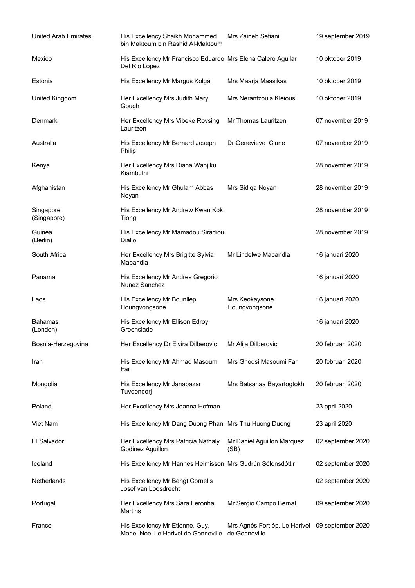| <b>United Arab Emirates</b> | His Excellency Shaikh Mohammed<br>bin Maktoum bin Rashid Al-Maktoum           | Mrs Zaineb Sefiani                                               | 19 september 2019 |
|-----------------------------|-------------------------------------------------------------------------------|------------------------------------------------------------------|-------------------|
| Mexico                      | His Excellency Mr Francisco Eduardo Mrs Elena Calero Aguilar<br>Del Rio Lopez |                                                                  | 10 oktober 2019   |
| Estonia                     | His Excellency Mr Margus Kolga                                                | Mrs Maarja Maasikas                                              | 10 oktober 2019   |
| United Kingdom              | Her Excellency Mrs Judith Mary<br>Gough                                       | Mrs Nerantzoula Kleiousi                                         | 10 oktober 2019   |
| Denmark                     | Her Excellency Mrs Vibeke Rovsing<br>Lauritzen                                | Mr Thomas Lauritzen                                              | 07 november 2019  |
| Australia                   | His Excellency Mr Bernard Joseph<br>Philip                                    | Dr Genevieve Clune                                               | 07 november 2019  |
| Kenya                       | Her Excellency Mrs Diana Wanjiku<br>Kiambuthi                                 |                                                                  | 28 november 2019  |
| Afghanistan                 | His Excellency Mr Ghulam Abbas<br>Noyan                                       | Mrs Sidiqa Noyan                                                 | 28 november 2019  |
| Singapore<br>(Singapore)    | His Excellency Mr Andrew Kwan Kok<br>Tiong                                    |                                                                  | 28 november 2019  |
| Guinea<br>(Berlin)          | His Excellency Mr Mamadou Siradiou<br>Diallo                                  |                                                                  | 28 november 2019  |
| South Africa                | Her Excellency Mrs Brigitte Sylvia<br>Mabandla                                | Mr Lindelwe Mabandla                                             | 16 januari 2020   |
| Panama                      | His Excellency Mr Andres Gregorio<br>Nunez Sanchez                            |                                                                  | 16 januari 2020   |
| Laos                        | His Excellency Mr Bounliep<br>Houngvongsone                                   | Mrs Keokaysone<br>Houngvongsone                                  | 16 januari 2020   |
| Bahamas<br>(London)         | His Excellency Mr Ellison Edroy<br>Greenslade                                 |                                                                  | 16 januari 2020   |
| Bosnia-Herzegovina          | Her Excellency Dr Elvira Dilberovic Mr Alija Dilberovic                       |                                                                  | 20 februari 2020  |
| Iran                        | His Excellency Mr Ahmad Masoumi<br>Far                                        | Mrs Ghodsi Masoumi Far                                           | 20 februari 2020  |
| Mongolia                    | His Excellency Mr Janabazar<br>Tuvdendorj                                     | Mrs Batsanaa Bayartogtokh                                        | 20 februari 2020  |
| Poland                      | Her Excellency Mrs Joanna Hofman                                              |                                                                  | 23 april 2020     |
| Viet Nam                    | His Excellency Mr Dang Duong Phan Mrs Thu Huong Duong                         |                                                                  | 23 april 2020     |
| El Salvador                 | Her Excellency Mrs Patricia Nathaly<br>Godinez Aguillon                       | Mr Daniel Aguillon Marquez<br>(SB)                               | 02 september 2020 |
| Iceland                     | His Excellency Mr Hannes Heimisson Mrs Gudrún Sólonsdóttir                    |                                                                  | 02 september 2020 |
| <b>Netherlands</b>          | His Excellency Mr Bengt Cornelis<br>Josef van Loosdrecht                      |                                                                  | 02 september 2020 |
| Portugal                    | Her Excellency Mrs Sara Feronha<br>Martins                                    | Mr Sergio Campo Bernal                                           | 09 september 2020 |
| France                      | His Excellency Mr Etienne, Guy,<br>Marie, Noel Le Harivel de Gonneville       | Mrs Agnès Fort ép. Le Harivel 09 september 2020<br>de Gonneville |                   |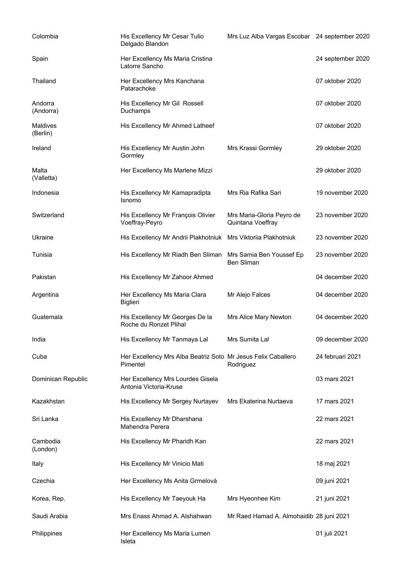| Colombia             | His Excellency Mr Cesar Tulio<br>Delgado Blandon                          | Mrs Luz Alba Vargas Escobar 24 september 2020  |                   |
|----------------------|---------------------------------------------------------------------------|------------------------------------------------|-------------------|
| Spain                | Her Excellency Ms Maria Cristina<br>Latorre Sancho                        |                                                | 24 september 2020 |
| Thailand             | Her Excellency Mrs Kanchana<br>Patarachoke                                |                                                | 07 oktober 2020   |
| Andorra<br>(Andorra) | His Excellency Mr Gil Rossell<br>Duchamps                                 |                                                | 07 oktober 2020   |
| Maldives<br>(Berlin) | His Excellency Mr Ahmed Latheef                                           |                                                | 07 oktober 2020   |
| Ireland              | His Excellency Mr Austin John<br>Gormley                                  | Mrs Krassi Gormley                             | 29 oktober 2020   |
| Malta<br>(Valletta)  | Her Excellency Ms Marlene Mizzi                                           |                                                | 29 oktober 2020   |
| Indonesia            | His Excellency Mr Kamapradipta<br>Isnomo                                  | Mrs Ria Rafika Sari                            | 19 november 2020  |
| Switzerland          | His Excellency Mr François Olivier<br>Voeffray-Peyro                      | Mrs Maria-Gloria Peyro de<br>Quintana Voeffray | 23 november 2020  |
| Ukraine              | His Excellency Mr Andrii Plakhotniuk Mrs Viktoriia Plakhotniuk            |                                                | 23 november 2020  |
| Tunisia              | His Excellency Mr Riadh Ben Sliman                                        | Mrs Samia Ben Youssef Ep<br><b>Ben Sliman</b>  | 23 november 2020  |
| Pakistan             | His Excellency Mr Zahoor Ahmed                                            |                                                | 04 december 2020  |
| Argentina            | Her Excellency Ms Maria Clara<br><b>Biglieri</b>                          | Mr Alejo Falces                                | 04 december 2020  |
| Guatemala            | His Excellency Mr Georges De la<br>Roche du Ronzet Plihal                 | Mrs Alice Mary Newton                          | 04 december 2020  |
| India                | His Excellency Mr Tanmaya Lal                                             | Mrs Sumita Lal                                 | 09 december 2020  |
| Cuba                 | Her Excellency Mrs Alba Beatriz Soto Mr Jesus Felix Caballero<br>Pimentel | Rodriguez                                      | 24 februari 2021  |
| Dominican Republic   | Her Excellency Mrs Lourdes Gisela<br>Antonia Victoria-Kruse               |                                                | 03 mars 2021      |
| Kazakhstan           | His Excellency Mr Sergey Nurtayev                                         | Mrs Ekaterina Nurtaeva                         | 17 mars 2021      |
| Sri Lanka            | His Excellency Mr Dharshana<br>Mahendra Perera                            |                                                | 22 mars 2021      |
| Cambodia<br>(London) | His Excellency Mr Pharidh Kan                                             |                                                | 22 mars 2021      |
| Italy                | His Excellency Mr Vinicio Mati                                            |                                                | 18 maj 2021       |
| Czechia              | Her Excellency Ms Anita Grmelová                                          |                                                | 09 juni 2021      |
| Korea, Rep.          | His Excellency Mr Taeyouk Ha                                              | Mrs Hyeonhee Kim                               | 21 juni 2021      |
| Saudi Arabia         | Mrs Enass Ahmad A. Alshahwan                                              | Mr Raed Hamad A. Almohaidib 28 juni 2021       |                   |
| Philippines          | Her Excellency Ms Maria Lumen<br>Isleta                                   |                                                | 01 juli 2021      |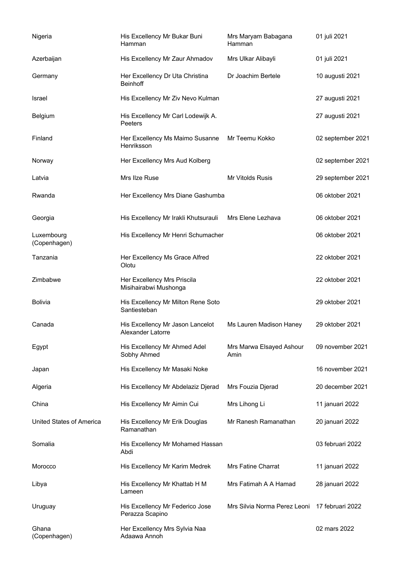| Nigeria                    | His Excellency Mr Bukar Buni<br>Hamman                | Mrs Maryam Babagana<br>Hamman    | 01 juli 2021      |
|----------------------------|-------------------------------------------------------|----------------------------------|-------------------|
| Azerbaijan                 | His Excellency Mr Zaur Ahmadov                        | Mrs Ulkar Alibayli               | 01 juli 2021      |
| Germany                    | Her Excellency Dr Uta Christina<br><b>Beinhoff</b>    | Dr Joachim Bertele               | 10 augusti 2021   |
| Israel                     | His Excellency Mr Ziv Nevo Kulman                     |                                  | 27 augusti 2021   |
| Belgium                    | His Excellency Mr Carl Lodewijk A.<br>Peeters         |                                  | 27 augusti 2021   |
| Finland                    | Her Excellency Ms Maimo Susanne<br>Henriksson         | Mr Teemu Kokko                   | 02 september 2021 |
| Norway                     | Her Excellency Mrs Aud Kolberg                        |                                  | 02 september 2021 |
| Latvia                     | Mrs Ilze Ruse                                         | <b>Mr Vitolds Rusis</b>          | 29 september 2021 |
| Rwanda                     | Her Excellency Mrs Diane Gashumba                     |                                  | 06 oktober 2021   |
| Georgia                    | His Excellency Mr Irakli Khutsurauli                  | Mrs Elene Lezhava                | 06 oktober 2021   |
| Luxembourg<br>(Copenhagen) | His Excellency Mr Henri Schumacher                    |                                  | 06 oktober 2021   |
| Tanzania                   | Her Excellency Ms Grace Alfred<br>Olotu               |                                  | 22 oktober 2021   |
| Zimbabwe                   | Her Excellency Mrs Priscila<br>Misihairabwi Mushonga  |                                  | 22 oktober 2021   |
| <b>Bolivia</b>             | His Excellency Mr Milton Rene Soto<br>Santiesteban    |                                  | 29 oktober 2021   |
| Canada                     | His Excellency Mr Jason Lancelot<br>Alexander Latorre | Ms Lauren Madison Haney          | 29 oktober 2021   |
| Egypt                      | His Excellency Mr Ahmed Adel<br>Sobhy Ahmed           | Mrs Marwa Elsayed Ashour<br>Amin | 09 november 2021  |
| Japan                      | His Excellency Mr Masaki Noke                         |                                  | 16 november 2021  |
| Algeria                    | His Excellency Mr Abdelaziz Djerad                    | Mrs Fouzia Djerad                | 20 december 2021  |
| China                      | His Excellency Mr Aimin Cui                           | Mrs Lihong Li                    | 11 januari 2022   |
| United States of America   | His Excellency Mr Erik Douglas<br>Ramanathan          | Mr Ranesh Ramanathan             | 20 januari 2022   |
| Somalia                    | His Excellency Mr Mohamed Hassan<br>Abdi              |                                  | 03 februari 2022  |
| Morocco                    | His Excellency Mr Karim Medrek                        | Mrs Fatine Charrat               | 11 januari 2022   |
| Libya                      | His Excellency Mr Khattab H M<br>Lameen               | Mrs Fatimah A A Hamad            | 28 januari 2022   |
| Uruguay                    | His Excellency Mr Federico Jose<br>Perazza Scapino    | Mrs Silvia Norma Perez Leoni     | 17 februari 2022  |
| Ghana<br>(Copenhagen)      | Her Excellency Mrs Sylvia Naa<br>Adaawa Annoh         |                                  | 02 mars 2022      |